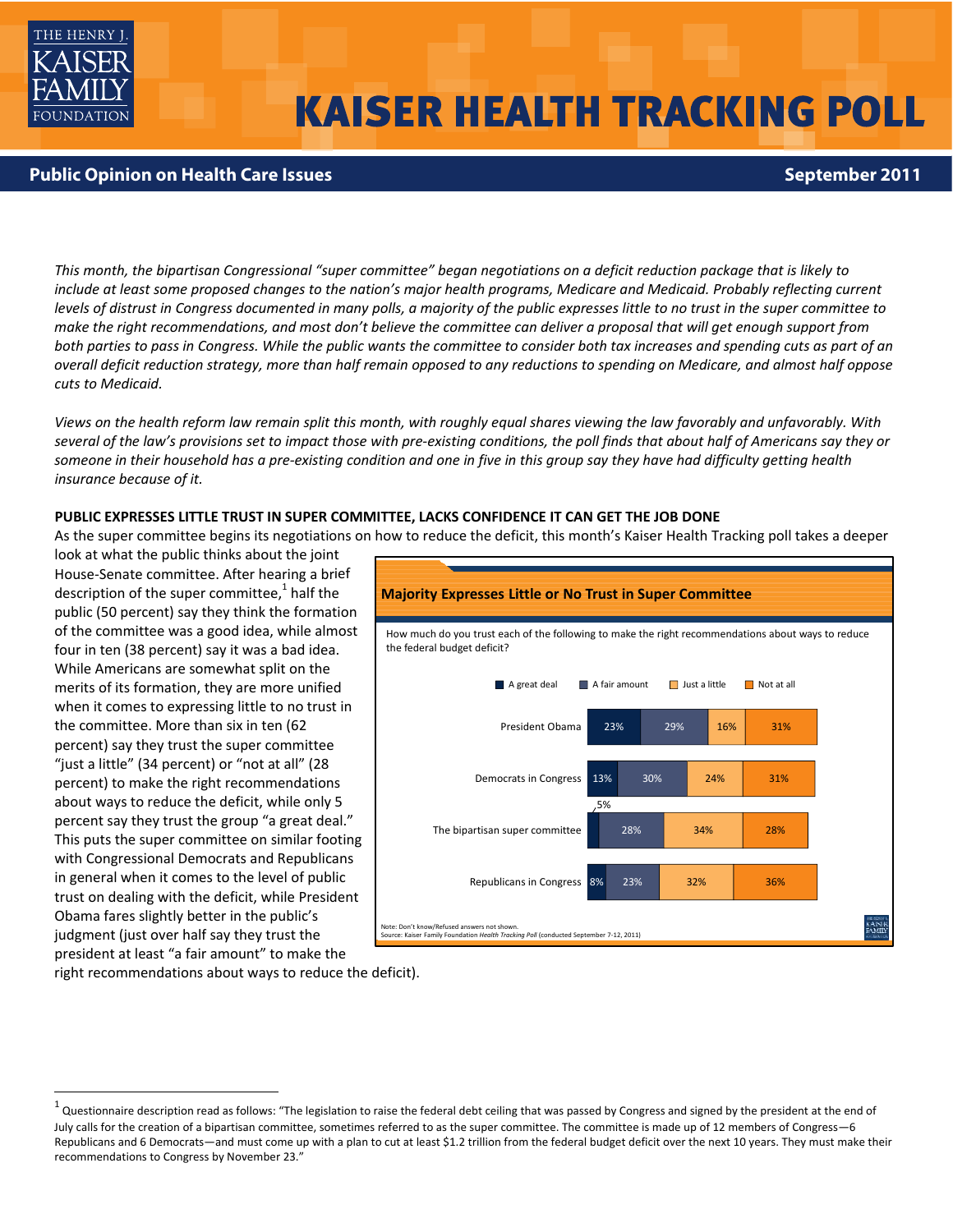

# **KAISER HEALTH TRACKING POLL**

## **Public Opinion on Health Care Issues September 2011**

This month, the bipartisan Congressional "super committee" began negotiations on a deficit reduction package that is likely to include at least some proposed changes to the nation's major health programs, Medicare and Medicaid. Probably reflecting current levels of distrust in Congress documented in many polls, a majority of the public expresses little to no trust in the super committee to make the right recommendations, and most don't believe the committee can deliver a proposal that will get enough support from both parties to pass in Congress. While the public wants the committee to consider both tax increases and spending cuts as part of an overall deficit reduction strategy, more than half remain opposed to any reductions to spending on Medicare, and almost half oppose *cuts to Medicaid.* 

Views on the health reform law remain split this month, with roughly equal shares viewing the law favorably and unfavorably. With several of the law's provisions set to impact those with pre-existing conditions, the poll finds that about half of Americans say they or someone in their household has a pre-existing condition and one in five in this group say they have had difficulty getting health *insurance because of it.*

## **PUBLIC EXPRESSES LITTLE TRUST IN SUPER COMMITTEE, LACKS CONFIDENCE IT CAN GET THE JOB DONE**

As the super committee begins its negotiations on how to reduce the deficit, this month's Kaiser Health Tracking poll takes a deeper

look at what the public thinks about the joint House‐Senate committee. After hearing a brief description of the super committee, $1$  half the public (50 percent) say they think the formation of the committee was a good idea, while almost four in ten (38 percent) say it was a bad idea. While Americans are somewhat split on the merits of its formation, they are more unified when it comes to expressing little to no trust in the committee. More than six in ten (62 percent) say they trust the super committee "just a little" (34 percent) or "not at all" (28 percent) to make the right recommendations about ways to reduce the deficit, while only 5 percent say they trust the group "a great deal." This puts the super committee on similar footing with Congressional Democrats and Republicans in general when it comes to the level of public trust on dealing with the deficit, while President Obama fares slightly better in the public's judgment (just over half say they trust the president at least "a fair amount" to make the



right recommendations about ways to reduce the deficit).

 $^1$  Questionnaire description read as follows: "The legislation to raise the federal debt ceiling that was passed by Congress and signed by the president at the end of July calls for the creation of a bipartisan committee, sometimes referred to as the super committee. The committee is made up of 12 members of Congress—6 Republicans and 6 Democrats—and must come up with a plan to cut at least \$1.2 trillion from the federal budget deficit over the next 10 years. They must make their recommendations to Congress by November 23."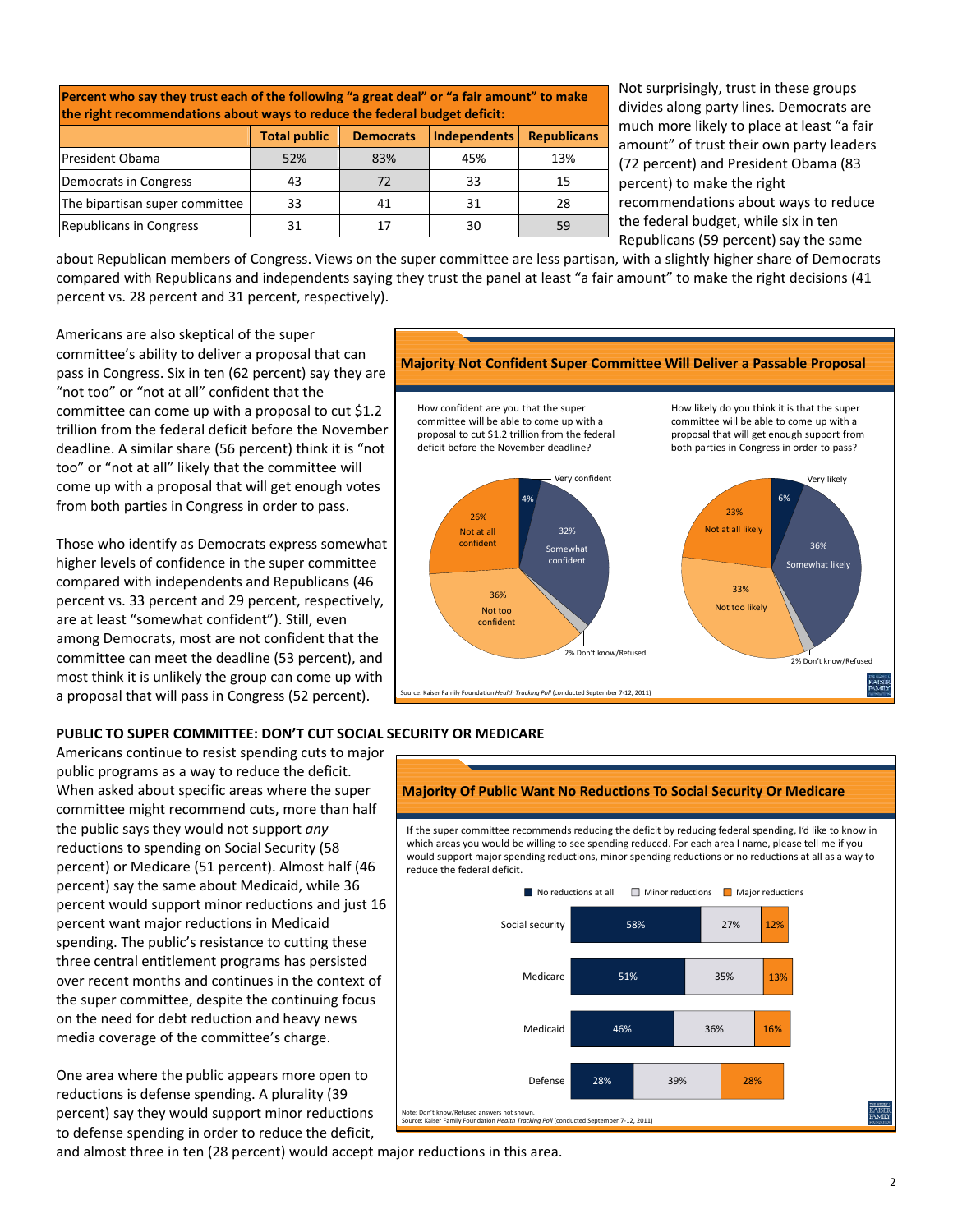| Percent who say they trust each of the following "a great deal" or "a fair amount" to make<br>the right recommendations about ways to reduce the federal budget deficit: |                     |                  |                     |                    |  |  |  |  |  |
|--------------------------------------------------------------------------------------------------------------------------------------------------------------------------|---------------------|------------------|---------------------|--------------------|--|--|--|--|--|
|                                                                                                                                                                          | <b>Total public</b> | <b>Democrats</b> | <b>Independents</b> | <b>Republicans</b> |  |  |  |  |  |
| <b>President Obama</b>                                                                                                                                                   | 52%                 | 83%              | 45%                 | 13%                |  |  |  |  |  |
| Democrats in Congress                                                                                                                                                    | 43                  | 72               | 33                  | 15                 |  |  |  |  |  |
| The bipartisan super committee                                                                                                                                           | 33                  | 41               | 31                  | 28                 |  |  |  |  |  |
| <b>Republicans in Congress</b>                                                                                                                                           | 31                  | 17               | 30                  | 59                 |  |  |  |  |  |

Not surprisingly, trust in these groups divides along party lines. Democrats are much more likely to place at least "a fair amount" of trust their own party leaders (72 percent) and President Obama (83 percent) to make the right recommendations about ways to reduce the federal budget, while six in ten Republicans (59 percent) say the same

about Republican members of Congress. Views on the super committee are less partisan, with a slightly higher share of Democrats compared with Republicans and independents saying they trust the panel at least "a fair amount" to make the right decisions (41 percent vs. 28 percent and 31 percent, respectively).

Americans are also skeptical of the super committee's ability to deliver a proposal that can pass in Congress. Six in ten (62 percent) say they are "not too" or "not at all" confident that the committee can come up with a proposal to cut \$1.2 trillion from the federal deficit before the November deadline. A similar share (56 percent) think it is "not too" or "not at all" likely that the committee will come up with a proposal that will get enough votes from both parties in Congress in order to pass.

Those who identify as Democrats express somewhat higher levels of confidence in the super committee compared with independents and Republicans (46 percent vs. 33 percent and 29 percent, respectively, are at least "somewhat confident"). Still, even among Democrats, most are not confident that the committee can meet the deadline (53 percent), and most think it is unlikely the group can come up with a proposal that will pass in Congress (52 percent).



## **PUBLIC TO SUPER COMMITTEE: DON'T CUT SOCIAL SECURITY OR MEDICARE**

Americans continue to resist spending cuts to major public programs as a way to reduce the deficit. When asked about specific areas where the super committee might recommend cuts, more than half the public says they would not support *any* reductions to spending on Social Security (58 percent) or Medicare (51 percent). Almost half (46 percent) say the same about Medicaid, while 36 percent would support minor reductions and just 16 percent want major reductions in Medicaid spending. The public's resistance to cutting these three central entitlement programs has persisted over recent months and continues in the context of the super committee, despite the continuing focus on the need for debt reduction and heavy news media coverage of the committee's charge.

One area where the public appears more open to reductions is defense spending. A plurality (39 percent) say they would support minor reductions to defense spending in order to reduce the deficit,



and almost three in ten (28 percent) would accept major reductions in this area.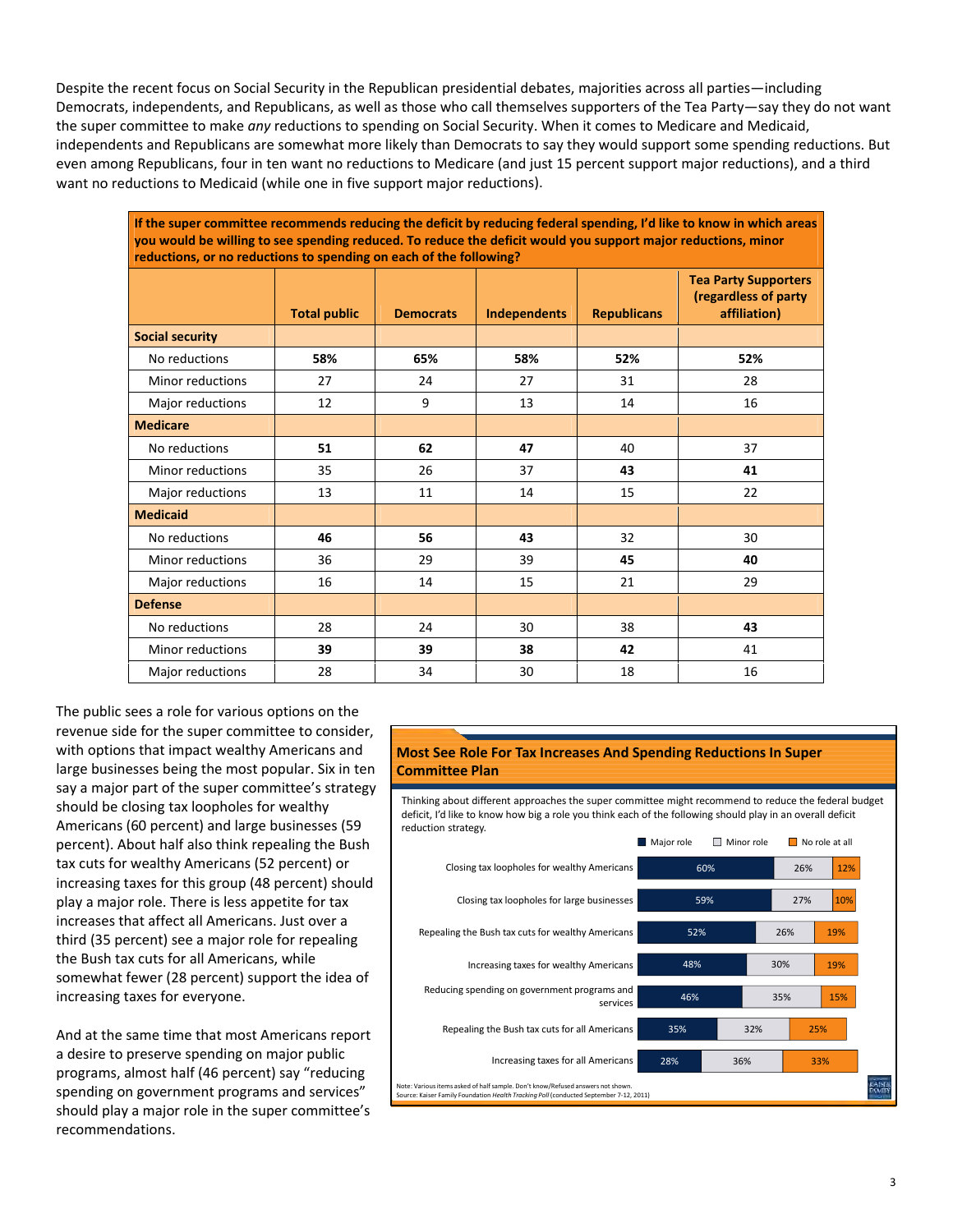Despite the recent focus on Social Security in the Republican presidential debates, majorities across all parties—including Democrats, independents, and Republicans, as well as those who call themselves supporters of the Tea Party—say they do not want the super committee to make *any* reductions to spending on Social Security. When it comes to Medicare and Medicaid, independents and Republicans are somewhat more likely than Democrats to say they would support some spending reductions. But even among Republicans, four in ten want no reductions to Medicare (and just 15 percent support major reductions), and a third want no reductions to Medicaid (while one in five support major reductions).

If the super committee recommends reducing the deficit by reducing federal spending, I'd like to know in which areas you would be willing to see spending reduced. To reduce the deficit would you support major reductions, minor **reductions, or no reductions to spending on each of the following?**

|                         | <b>Total public</b> | <b>Democrats</b> | <b>Independents</b> | <b>Republicans</b> | <b>Tea Party Supporters</b><br>(regardless of party<br>affiliation) |
|-------------------------|---------------------|------------------|---------------------|--------------------|---------------------------------------------------------------------|
| <b>Social security</b>  |                     |                  |                     |                    |                                                                     |
| No reductions           | 58%                 | 65%              | 58%                 | 52%                | 52%                                                                 |
| Minor reductions        | 27                  | 24               | 27                  | 31                 | 28                                                                  |
| Major reductions        | 12                  | 9                | 13                  | 14                 | 16                                                                  |
| <b>Medicare</b>         |                     |                  |                     |                    |                                                                     |
| No reductions           | 51                  | 62               | 47                  | 40                 | 37                                                                  |
| <b>Minor reductions</b> | 35                  | 26               | 37                  | 43                 | 41                                                                  |
| Major reductions        | 13                  | 11               | 14                  | 15                 | 22                                                                  |
| <b>Medicaid</b>         |                     |                  |                     |                    |                                                                     |
| No reductions           | 46                  | 56               | 43                  | 32                 | 30                                                                  |
| <b>Minor reductions</b> | 36                  | 29               | 39                  | 45                 | 40                                                                  |
| Major reductions        | 16                  | 14               | 15                  | 21                 | 29                                                                  |
| <b>Defense</b>          |                     |                  |                     |                    |                                                                     |
| No reductions           | 28                  | 24               | 30                  | 38                 | 43                                                                  |
| Minor reductions        | 39                  | 39               | 38                  | 42                 | 41                                                                  |
| Major reductions        | 28                  | 34               | 30                  | 18                 | 16                                                                  |

The public sees a role for various options on the revenue side for the super committee to consider, with options that impact wealthy Americans and large businesses being the most popular. Six in ten say a major part of the super committee's strategy should be closing tax loopholes for wealthy Americans (60 percent) and large businesses (59 percent). About half also think repealing the Bush tax cuts for wealthy Americans (52 percent) or increasing taxes for this group (48 percent) should play a major role. There is less appetite for tax increases that affect all Americans. Just over a third (35 percent) see a major role for repealing the Bush tax cuts for all Americans, while somewhat fewer (28 percent) support the idea of increasing taxes for everyone.

And at the same time that most Americans report a desire to preserve spending on major public programs, almost half (46 percent) say "reducing spending on government programs and services" should play a major role in the super committee's recommendations.

## **Most See Role For Tax Increases And Spending Reductions In Super Committee Plan**

Thinking about different approaches the super committee might recommend to reduce the federal budget deficit, I'd like to know how big a role you think each of the following should play in an overall deficit reduction strategy.

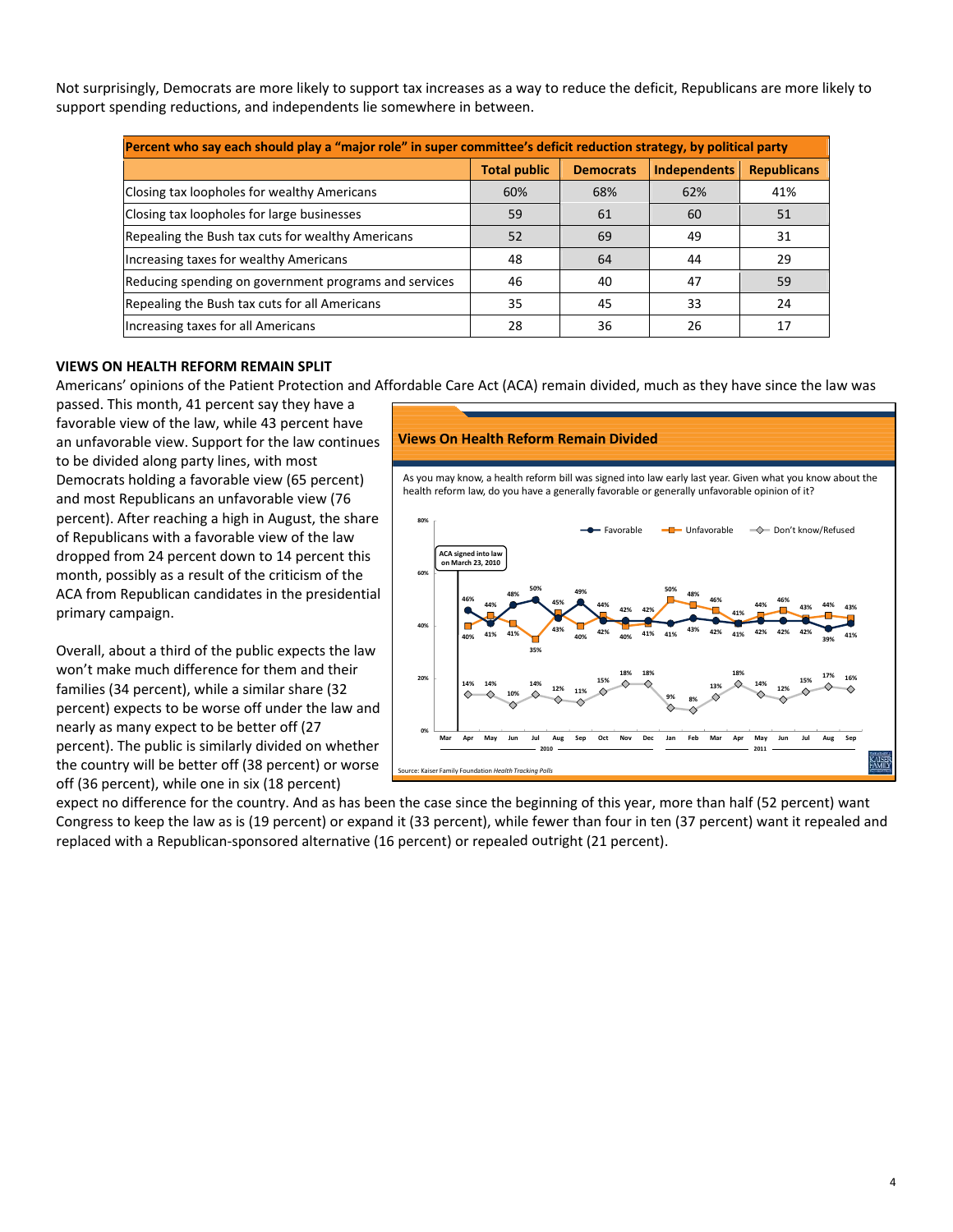Not surprisingly, Democrats are more likely to support tax increases as a way to reduce the deficit, Republicans are more likely to support spending reductions, and independents lie somewhere in between.

| Percent who say each should play a "major role" in super committee's deficit reduction strategy, by political party |                     |                  |                     |                    |  |  |  |  |
|---------------------------------------------------------------------------------------------------------------------|---------------------|------------------|---------------------|--------------------|--|--|--|--|
|                                                                                                                     | <b>Total public</b> | <b>Democrats</b> | <b>Independents</b> | <b>Republicans</b> |  |  |  |  |
| Closing tax loopholes for wealthy Americans                                                                         | 60%                 | 68%              | 62%                 | 41%                |  |  |  |  |
| Closing tax loopholes for large businesses                                                                          | 59                  | 61               | 60                  | 51                 |  |  |  |  |
| Repealing the Bush tax cuts for wealthy Americans                                                                   | 52                  | 69               | 49                  | 31                 |  |  |  |  |
| Increasing taxes for wealthy Americans                                                                              | 48                  | 64               | 44                  | 29                 |  |  |  |  |
| Reducing spending on government programs and services                                                               | 46                  | 40               | 47                  | 59                 |  |  |  |  |
| Repealing the Bush tax cuts for all Americans                                                                       | 35                  | 45               | 33                  | 24                 |  |  |  |  |
| Increasing taxes for all Americans                                                                                  | 28                  | 36               | 26                  | 17                 |  |  |  |  |

## **VIEWS ON HEALTH REFORM REMAIN SPLIT**

Americans' opinions of the Patient Protection and Affordable Care Act (ACA) remain divided, much as they have since the law was

passed. This month, 41 percent say they have a favorable view of the law, while 43 percent have an unfavorable view. Support for the law continues to be divided along party lines, with most Democrats holding a favorable view (65 percent) and most Republicans an unfavorable view (76 percent). After reaching a high in August, the share of Republicans with a favorable view of the law dropped from 24 percent down to 14 percent this month, possibly as a result of the criticism of the ACA from Republican candidates in the presidential primary campaign.

Overall, about a third of the public expects the law won't make much difference for them and their families (34 percent), while a similar share (32 percent) expects to be worse off under the law and nearly as many expect to be better off (27 percent). The public is similarly divided on whether the country will be better off (38 percent) or worse off (36 percent), while one in six (18 percent)

#### **Views On Health Reform Remain Divided**

As you may know, a health reform bill was signed into law early last year. Given what you know about the health reform law, do you have a generally favorable or generally unfavorable opinion of it?



expect no difference for the country. And as has been the case since the beginning of this year, more than half (52 percent) want Congress to keep the law as is (19 percent) or expand it (33 percent), while fewer than four in ten (37 percent) want it repealed and replaced with a Republican‐sponsored alternative (16 percent) or repealed outright (21 percent).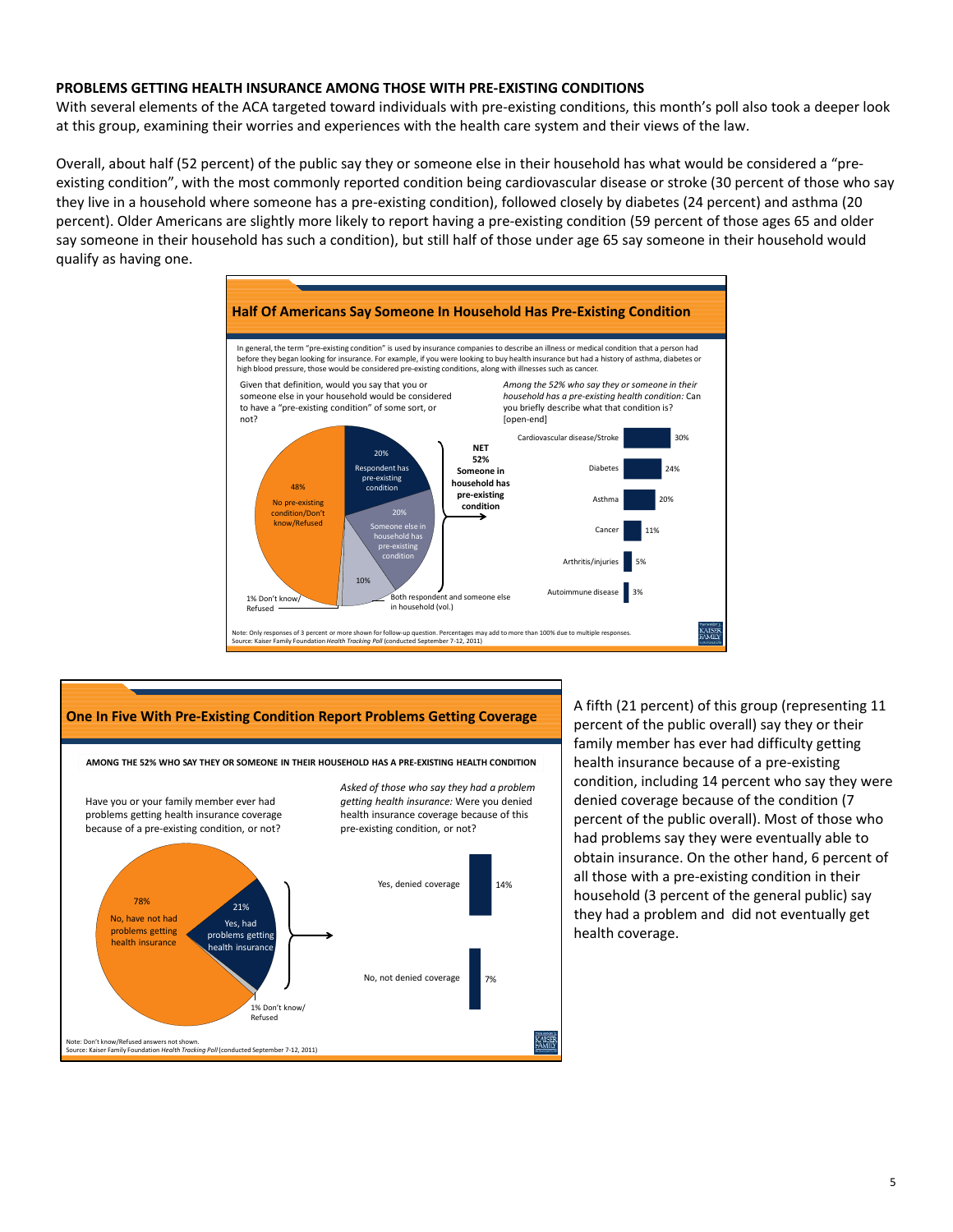## **PROBLEMS GETTING HEALTH INSURANCE AMONG THOSE WITH PRE‐EXISTING CONDITIONS**

With several elements of the ACA targeted toward individuals with pre-existing conditions, this month's poll also took a deeper look at this group, examining their worries and experiences with the health care system and their views of the law.

Overall, about half (52 percent) of the public say they or someone else in their household has what would be considered a "pre‐ existing condition", with the most commonly reported condition being cardiovascular disease or stroke (30 percent of those who say they live in a household where someone has a pre‐existing condition), followed closely by diabetes (24 percent) and asthma (20 percent). Older Americans are slightly more likely to report having a pre‐existing condition (59 percent of those ages 65 and older say someone in their household has such a condition), but still half of those under age 65 say someone in their household would qualify as having one.





A fifth (21 percent) of this group (representing 11 percent of the public overall) say they or their family member has ever had difficulty getting health insurance because of a pre‐existing condition, including 14 percent who say they were denied coverage because of the condition (7 percent of the public overall). Most of those who had problems say they were eventually able to obtain insurance. On the other hand, 6 percent of all those with a pre‐existing condition in their household (3 percent of the general public) say they had a problem and did not eventually get health coverage.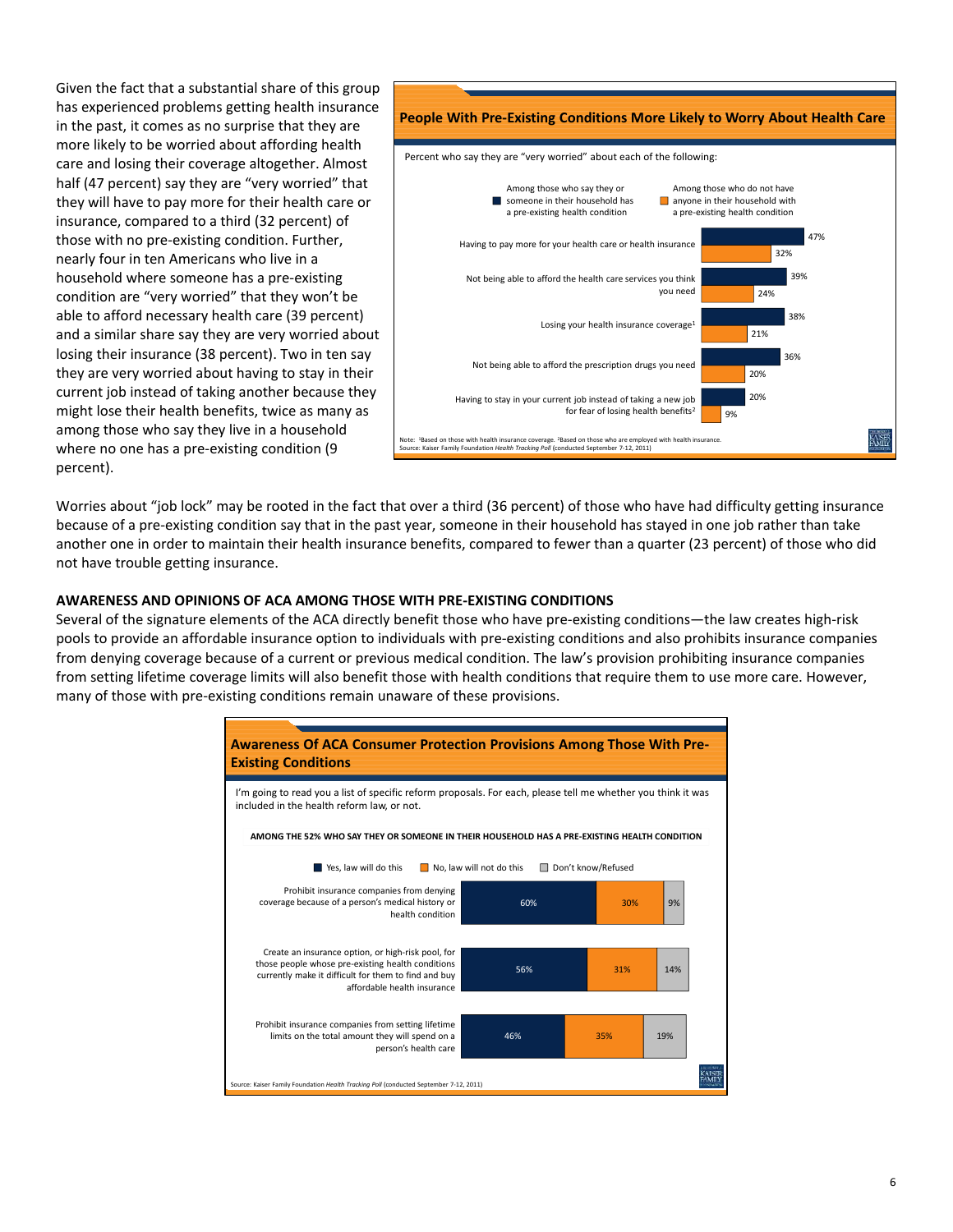Given the fact that a substantial share of this group has experienced problems getting health insurance in the past, it comes as no surprise that they are more likely to be worried about affording health care and losing their coverage altogether. Almost half (47 percent) say they are "very worried" that they will have to pay more for their health care or insurance, compared to a third (32 percent) of those with no pre‐existing condition. Further, nearly four in ten Americans who live in a household where someone has a pre‐existing condition are "very worried" that they won't be able to afford necessary health care (39 percent) and a similar share say they are very worried about losing their insurance (38 percent). Two in ten say they are very worried about having to stay in their current job instead of taking another because they might lose their health benefits, twice as many as among those who say they live in a household where no one has a pre-existing condition (9 percent).



Worries about "job lock" may be rooted in the fact that over a third (36 percent) of those who have had difficulty getting insurance because of a pre‐existing condition say that in the past year, someone in their household has stayed in one job rather than take another one in order to maintain their health insurance benefits, compared to fewer than a quarter (23 percent) of those who did not have trouble getting insurance.

## **AWARENESS AND OPINIONS OF ACA AMONG THOSE WITH PRE‐EXISTING CONDITIONS**

Several of the signature elements of the ACA directly benefit those who have pre-existing conditions—the law creates high-risk pools to provide an affordable insurance option to individuals with pre‐existing conditions and also prohibits insurance companies from denying coverage because of a current or previous medical condition. The law's provision prohibiting insurance companies from setting lifetime coverage limits will also benefit those with health conditions that require them to use more care. However, many of those with pre‐existing conditions remain unaware of these provisions.